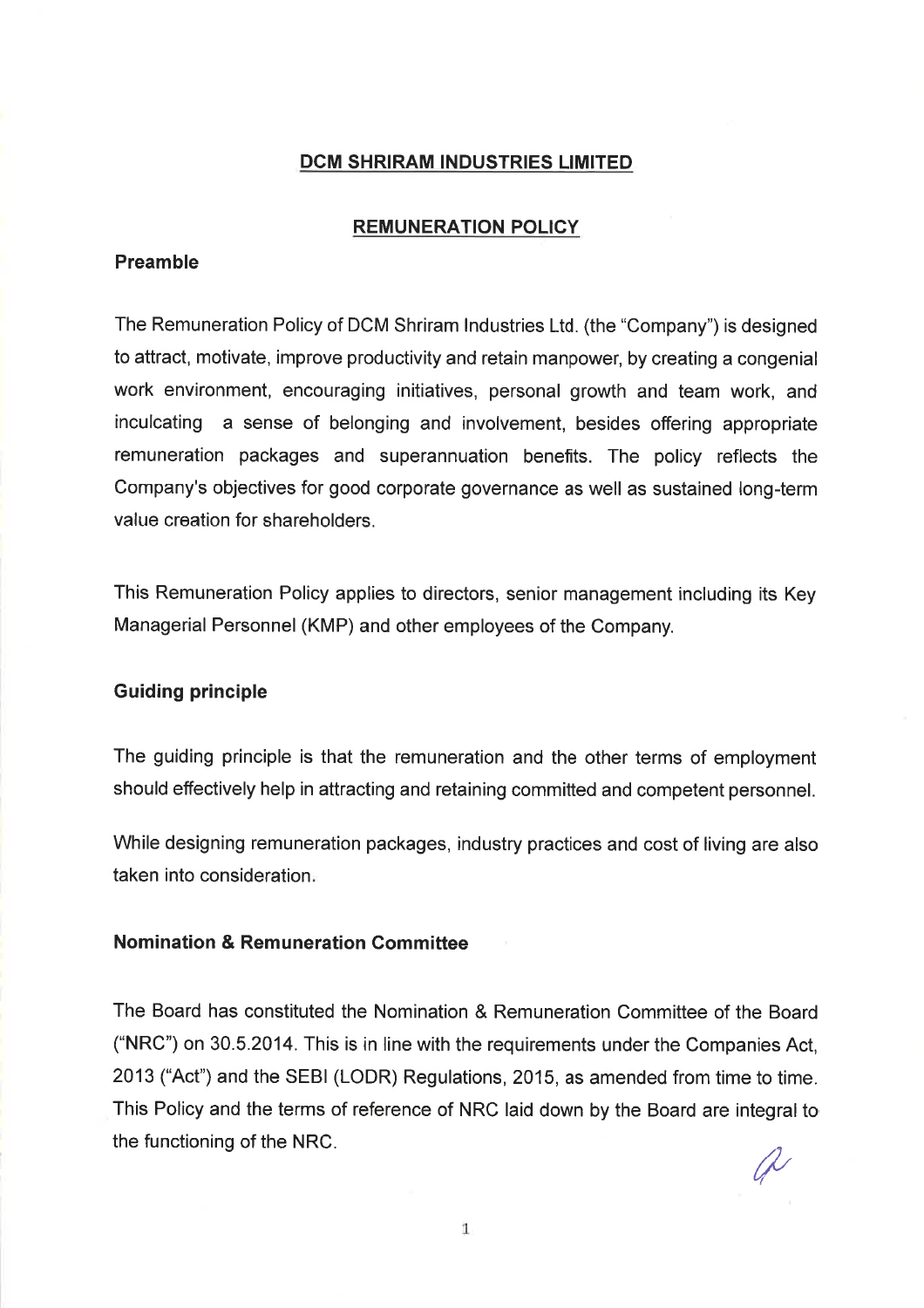#### DCM SHRIRAM INDUSTRIES LIMITED

#### REMUNERATION POLICY

# Preamble

The Remuneration Policy of DCM Shriram lndustries Ltd. (the "Company") is designed to attract, motivate, improve productivity and retain manpower, by creating a congenial work environment, encouraging initiatives, personal growth and team work, and inculcating a sense of belonging and involvement, besides offering appropriate remuneration packages and superannuation benefits. The policy reflects the Company's objectives for good corporate governance as well as sustained long-term value creation for shareholders.

This Remuneration Policy applies to directors, senior management including its Key Managerial Personnel (KMP) and other employees of the Company.

### Guiding principle

The guiding principle is that the remuneration and the other terms of employment should effectively help in attracting and retaining committed and competent personnel.

While designing remuneration packages, industry practices and cost of living are also taken into consideration

## Nomination & Remuneration Committee

The Board has constituted the Nomination & Remuneration Committee of the Board ('NRC') on 30.5.2014. This is in line with the requirements under the Companies Act, 2013 ("Act") and the SEBI (LODR) Regulations, 2015, as amended from time to time. This Policy and the terms of reference of NRC laid down by the Board are integral to the functioning of the NRC.  $\Lambda$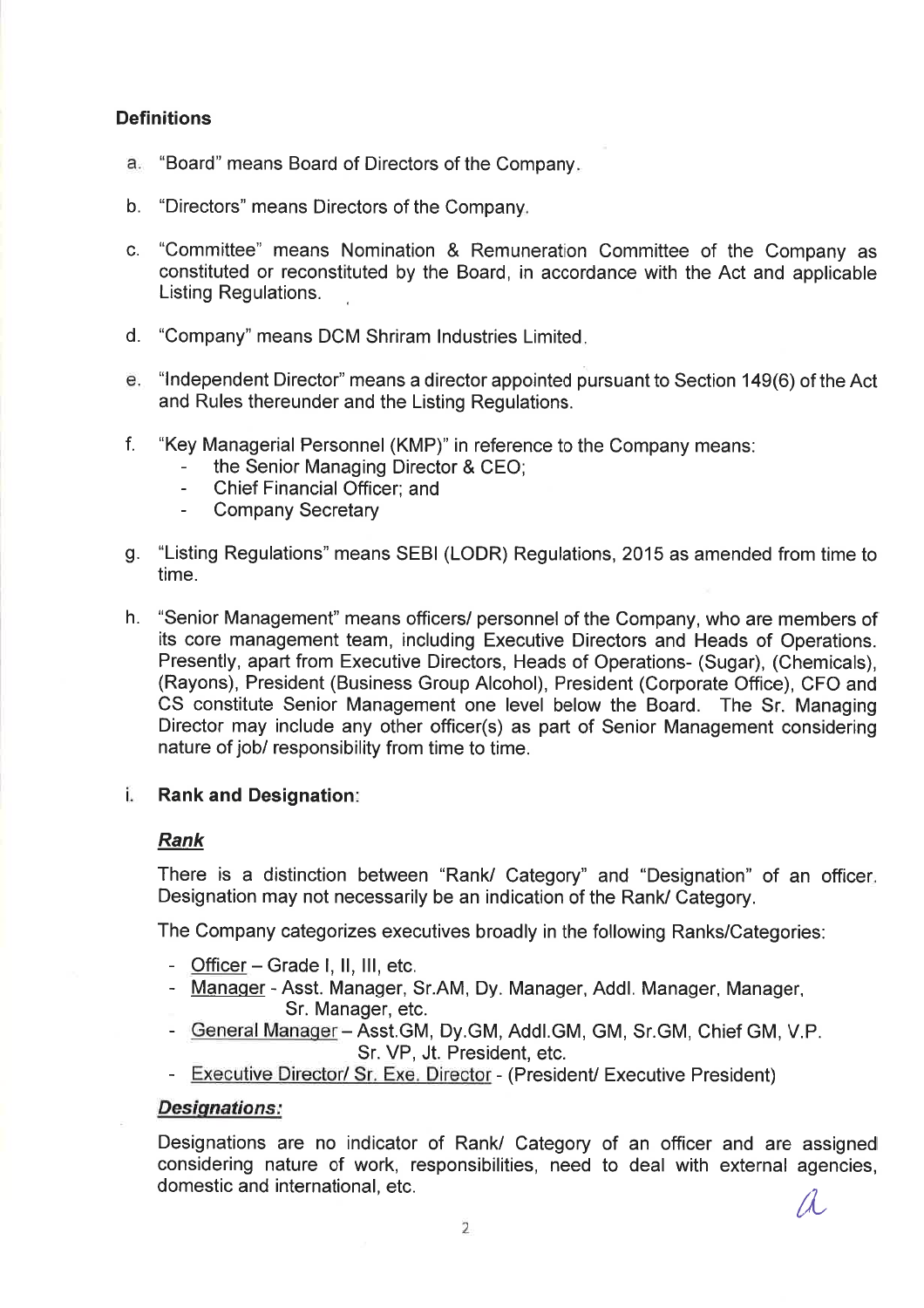# **Definitions**

- a. "Board" means Board of Directors of the Company.
- b. "Directors" means Directors of the Company
- c. "Committee" means Nomination & Remuneration Committee of the Company as constituted or reconstituted by the Board, in accordance with the Act and applicable Listing Regulations.
- d. "Company" means DCM Shriram lndustries Limited
- <sup>6</sup> "lndependent Director" means a director appointed pursuant to Section 149(6) of the Act and Rules thereunder and the Listing Regulations.
- f. "Key Managerial Personnel (KMP)" in reference to the Company means:
	- the Senior Managing Director & CEO;
	- Chief Financial Officer; and
	- Company Secretary
- g. "Listing Regulations" means SEBI (LODR) Regulations, 2015 as amended from time to time.
- h. "Senior Management" means officers/ personnel of the Company, who are members of its core management team, including Executive Directors and Heads of Operations. Presently, apart from Executive Directors, Heads of Operations- (Sugar), (Chemicals), (Rayons), President (Business Group Alcohol), President (Corporate Office), CFO and CS constitute Senior Management one level below the Board. The Sr. Managing Director may include any other officer(s) as part of Senior Management considering nature of job/ responsibility from time to time.

#### i. Rank and Designation

# Rank

There is a distinction between "Rank/ Category" and "Designation" of an officer Designation may not necessarily be an indication of the Rank/ Category.

The Company categorizes executives broadly in the following Ranks/Categories:

- Officer  $-$  Grade I, II, III, etc.
- Manaqer Asst. Manager, Sr.AM, Dy. Manager, Addl. Manager, Manager, Sr. Manager, etc.
- General Manager Asst.GM, Dy.GM, Addl.GM, GM, Sr.GM, Chief GM, V.P. Sr. VP, Jt. President, etc.
- Executive Director/ Sr. Exe. Director (President/ Executive President)

## Desiqnations:

Designations are no indicator of Rank/ Category of an officer and are assigned considering nature of work, responsibilities, need to deal with external agencies, domestic and international, etc.  $\mathcal{A}$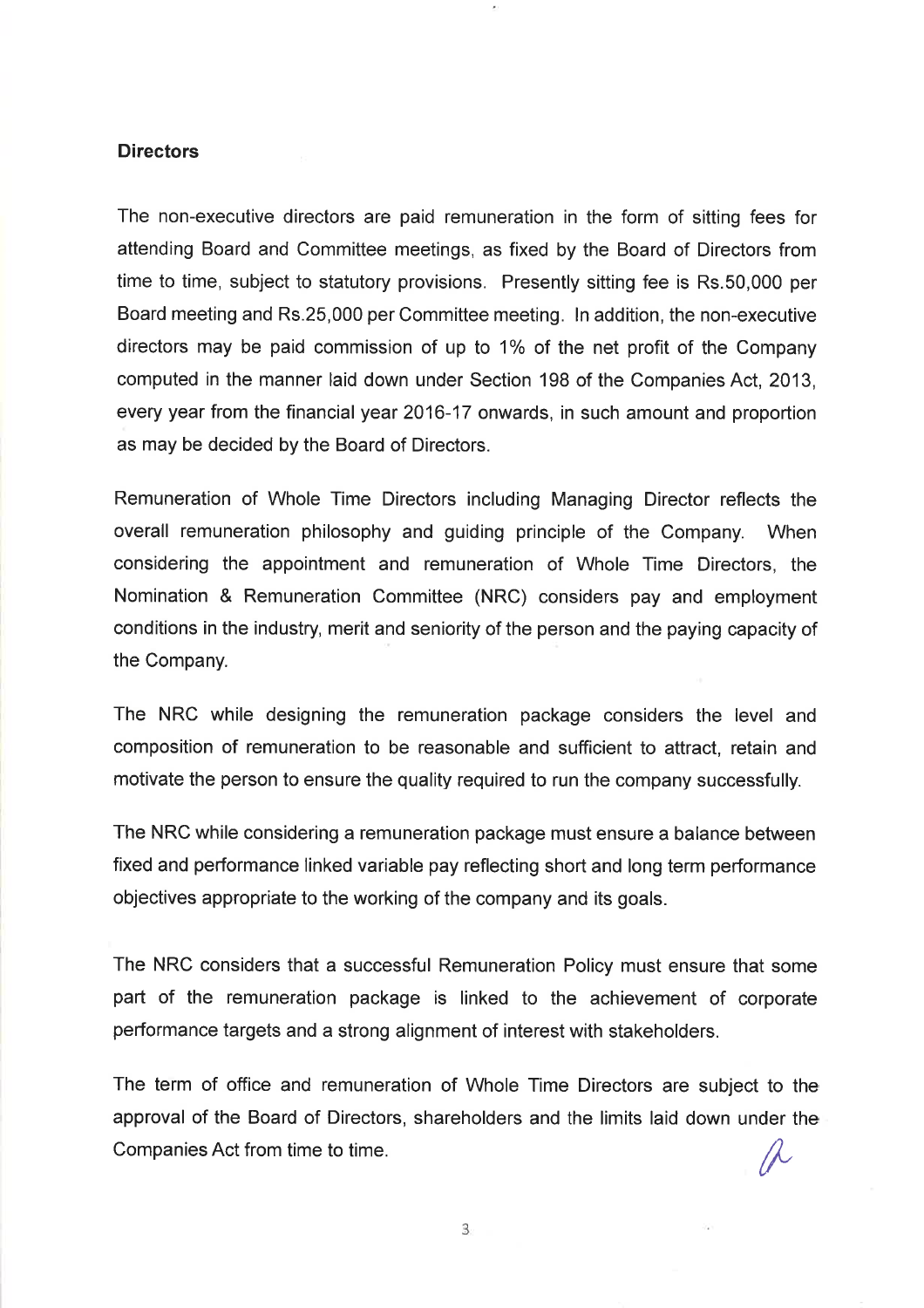#### **Directors**

The non-executive directors are paid remuneration in the form of sitting fees for attending Board and Committee meetings, as fixed by the Board of Directors from time to time, subject to statutory provisions. Presently sitting fee is Rs.50,000 per Board meeting and Rs.25,000 per Committee meeting. ln addition, the non-executive directors may be paid commission of up to  $1\%$  of the net profit of the Company computed in the manner laid down under Section 198 of the Companies Act, 2013, every year from the financial year 2016-17 onwards, in such amount and proportion as may be decided by the Board of Directors.

Remuneration of Whole Time Directors including Managing Director reflects the overall remuneration philosophy and guiding principle of the Company. When considering the appointment and remuneration of Whole Time Directors, the Nomination & Remuneration Committee (NRC) considers pay and employment conditions in the industry, merit and seniority of the person and the paying capacity of the Company.

The NRC while designing the remuneration package considers the level and composition of remuneration to be reasonable and sufficient to attract, retain and motivate the person to ensure the quality required to run the company successfully.

The NRC while considering a remuneration package must ensure a balance between fixed and performance linked variable pay reflecting short and long term performance objectives appropriate to the working of the company and its goals.

The NRC considers that a successful Remuneration Policy must ensure that some part of the remuneration package is linked to the achievement of corporate performance targets and a strong alignment of interest with stakeholders.

The term of office and remuneration of Whole Time Directors are subject to the approval of the Board of Directors, shareholders and the limits laid down under the Companies Act from time to time.

3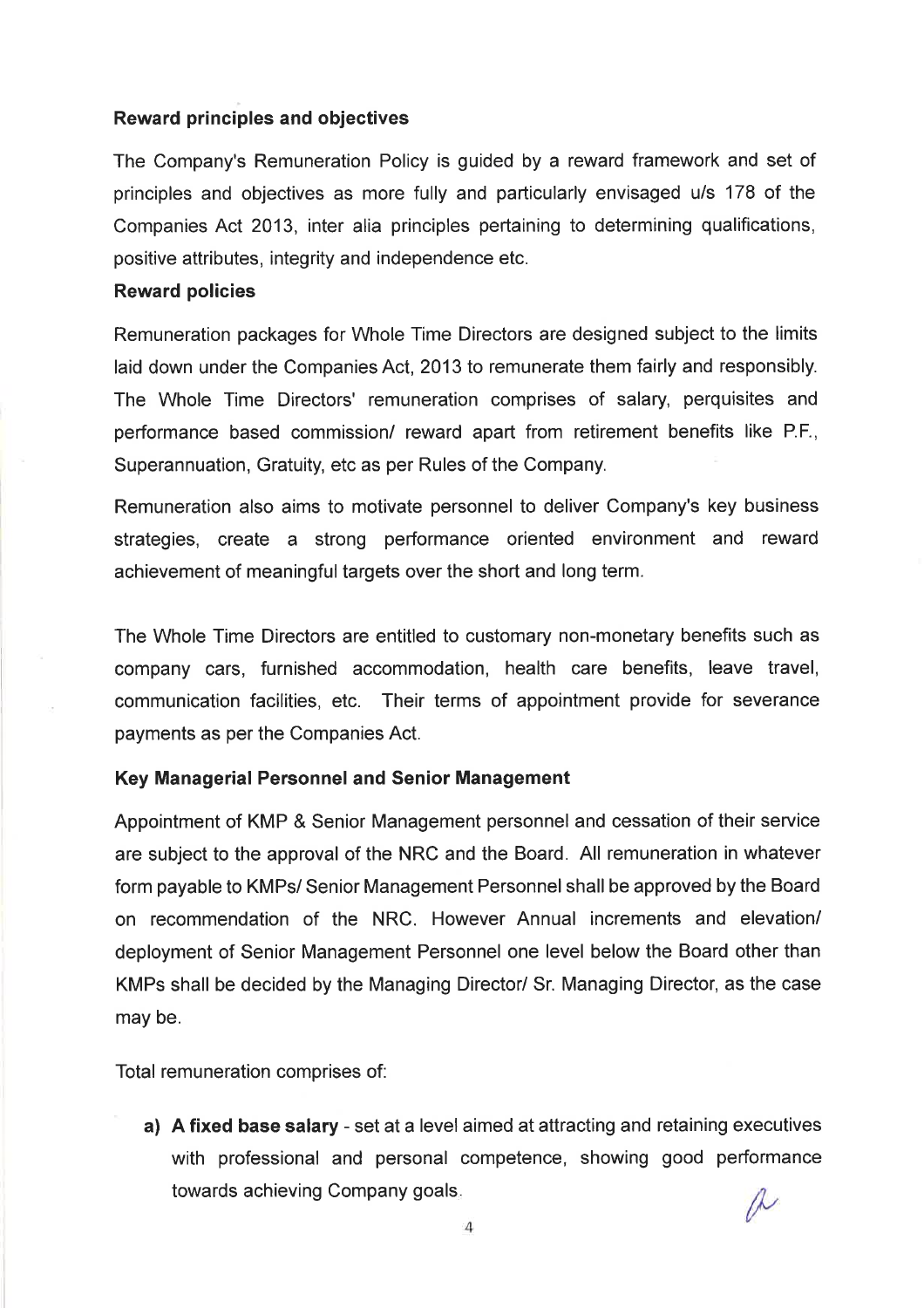## Reward principles and objectives

The Company's Remuneration Policy is guided by a reward framework and set of principles and objectives as more fully and particularly envisaged u/s 178 of the Companies Act 2013, inter alia principles pertaining to determining qualifications, positive attributes, integrity and independence etc.

#### Reward policies

Remuneration packages for Whole Time Directors are designed subject to the limits laid down under the Companies Act, 2013 to remunerate them fairly and responsibly. The Whole Time Directors' remuneration comprises of salary, perquisites and performance based commission/ reward apart from retirement benefits like P.F., Superannuation, Gratuity, etc as per Rules of the Company.

Remuneration also aims to motivate personnel to deliver Company's key business strategies, create a strong performance oriented environment and reward achievement of meaningful targets over the short and long term.

The Whole Time Directors are entitled to customary non-monetary benefits such as company cars, furnished accommodation, health care benefits, leave travel, communication facilities, etc. Their terms of appointment provide for severance payments as per the Companies Act.

## Key Managerial Personnel and Senior Management

Appointment of KMP & Senior Management personnel and cessation of their service are subject to the approval of the NRC and the Board. All remuneration in whatever form payable to KMPs/ Senior Management Personnel shall be approved by the Board on recommendation of the NRC. However Annual increments and elevation/ deployment of Senior Management Personnel one level below the Board other than KMPs shall be decided by the Managing Director/ Sr. Managing Director, as the case may be.

Total remuneration comprises of:

a) A fixed base salary - set at a level aimed at attracting and retaining executives with professional and personal competence, showing good performance towards achieving Company goals.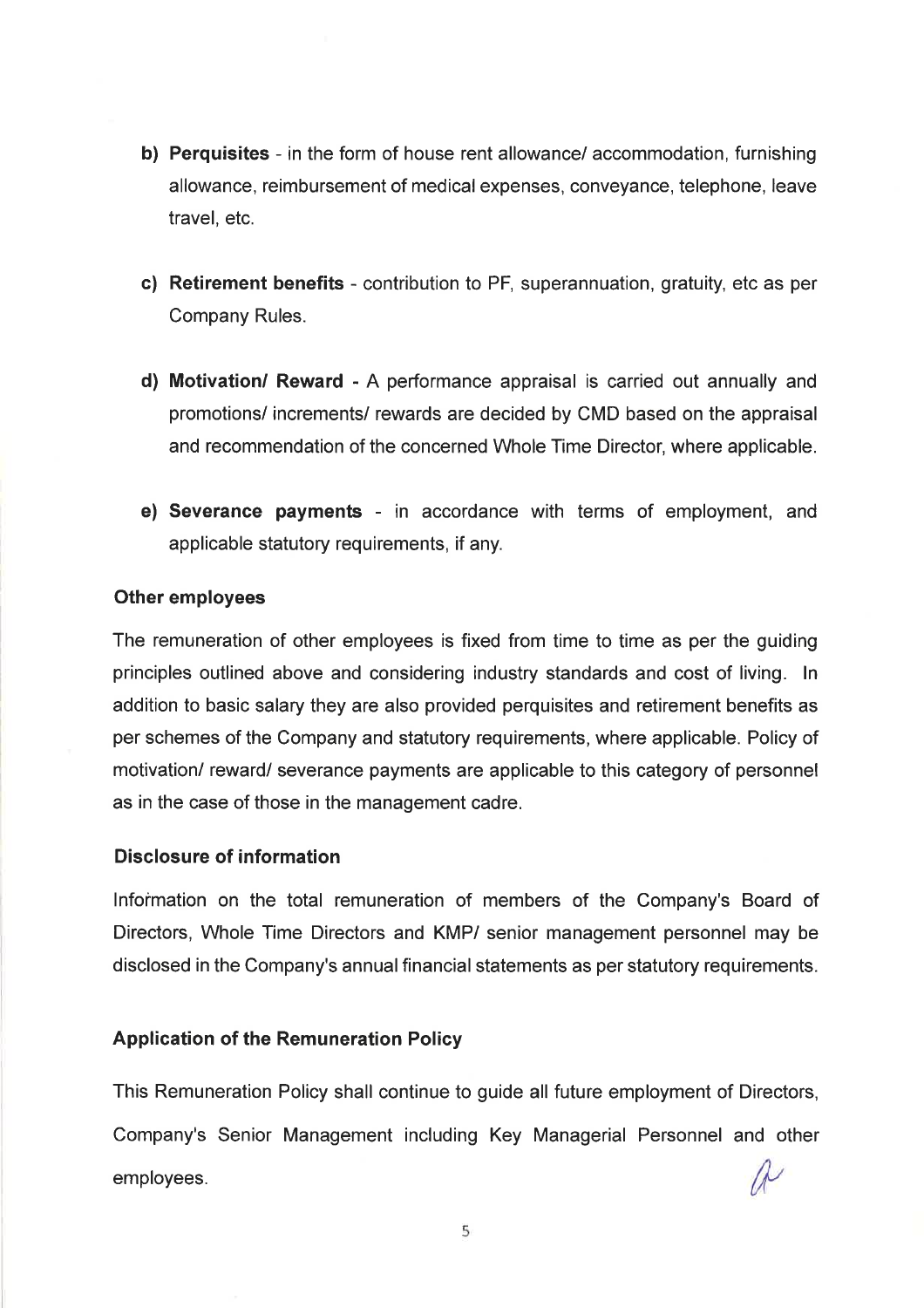- b) Perquisites in the form of house rent allowance/ accommodation, furnishing allowance, reimbursement of medical expenses, conveyance, telephone, leave travel, etc.
- c) Retirement benefits contribution to PF, superannuation, gratuity, etc as per Company Rules.
- d) Motivation/ Reward A performance appraisal is carried out annually and promotions/ increments/ rewards are decided by CMD based on the appraisal and recommendation of the concerned Whole Time Director, where applicable.
- e) Severance payments in accordance with terms of employment, and applicable statutory requirements, if any.

## Other employees

The remuneration of other employees is fixed from time to time as per the guiding principles outlined above and considering industry standards and cost of living. In addition to basic salary they are also provided perquisites and retirement benefits as per schemes of the Company and statutory requirements, where applicable. Policy of motivation/ reward/ severance payments are applicable to this category of personnel as in the case of those in the management cadre.

## Disclosure of information

Information on the total remuneration of members of the Company's Board of Directors, Whole Time Directors and KMP/ senior management personnel may be disclosed in the Company's annual financial statements as per statutory requirements.

## Application of the Remuneration Policy

This Remuneration Policy shall continue to guide all future employment of Directors, Company's Senior Management including Key Managerial Personnel and other il" employees.